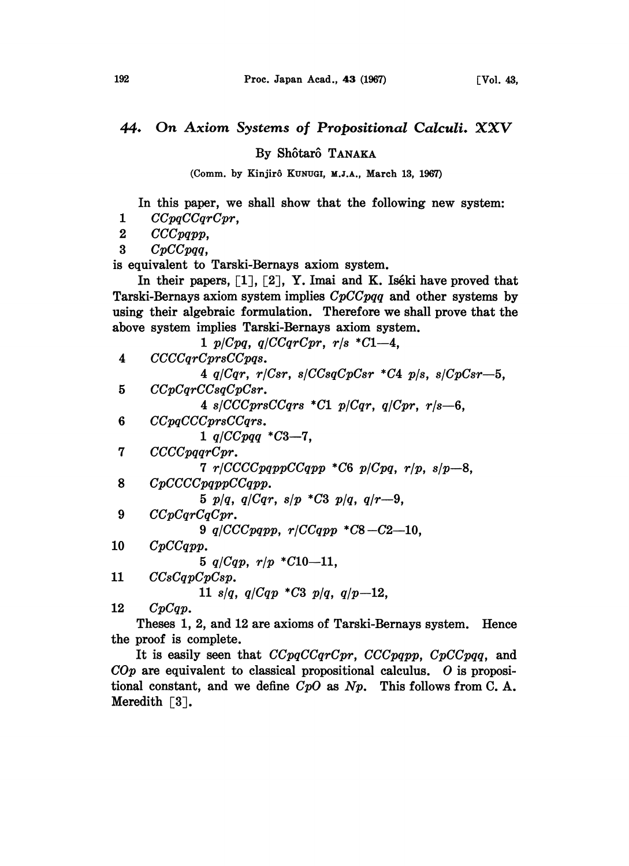## 44. On Axiom Systems of Propositional Calculi. XXV

By Shôtarô TANAKA

(Comm. by Kinjirô KUNUGI, M.J.A., March 13, 1967)

In this paper, we shall show that the following new system:

1 CCpqCCqrCpr,

2 CCCpqpp,

3 CpCCpqq,

is equivalent to Tarski-Bernays axiom system.

In their papers,  $\lceil 1 \rceil$ ,  $\lceil 2 \rceil$ , Y. Imai and K. Iséki have proved that Tarski-Bernays axiom system implies CpCCpqq and other systems by using their algebraic formulation. Therefore we shall prove that the above system implies Tarski-Bernays axiom system.

|    | 1 $p/Cpq$ , $q/CCqrCpr$ , $r/s$ *C1-4.                        |
|----|---------------------------------------------------------------|
| 4  | CCCCqrCprsCCpqs.                                              |
|    | 4 $q/Cqr$ , $r/Csr$ , $s/CCsqCpCsr$ *C4 $p/s$ , $s/CpCsr-5$ , |
| 5  | CCpCqrCCsqCpCsr.                                              |
|    | 4 s/CCCprsCCqrs *C1 p/Cqr, $q$ /Cpr, r/s-6,                   |
| 6  | CCpqCCCprsCCqrs.                                              |
|    | 1 $q/CCpqq * C3 - 7$ ,                                        |
| 7  | CCCpqqrCpr.                                                   |
|    | 7 $r/CCCCpqppCCqpp *C6 p/Cpq$ , $r/p$ , $s/p-8$ ,             |
| 8  | CpCCCCpqppCCqpp.                                              |
|    | 5 $p/q$ , $q/Cqr$ , $s/p$ *C3 $p/q$ , $q/r-9$ ,               |
| 9  | CCpCqrCqCpr.                                                  |
|    | 9 q/CCCpqpp, $r/CCqpp * C8 - C2 - 10$ ,                       |
| 10 | CpCCqpp.                                                      |
|    | 5 $q/Cqp$ , $r/p$ * $C10-11$ ,                                |
| 11 | CCsCqpCpCsp.                                                  |
|    | 11 s/q, $q/Cqp * C3 p/q$ , $q/p-12$ ,                         |
| 12 | CpCap.                                                        |

Theses 1, 2, and 12 are axioms of Tarski-Bernays system. Hence the proof is complete.

It is easily seen that  $CCpqCCqrCpr$ ,  $CCCpqpp$ ,  $CpCCpqq$ , and  $COp$  are equivalent to classical propositional calculus. O is propositional constant, and we define  $CpO$  as  $Np$ . This follows from C.A. Meredith [3].